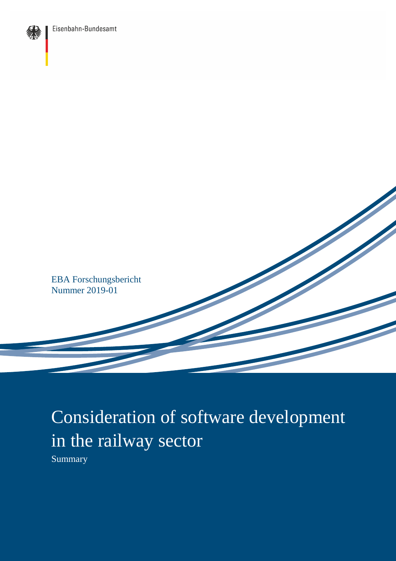



## Consideration of software development in the railway sector

Summary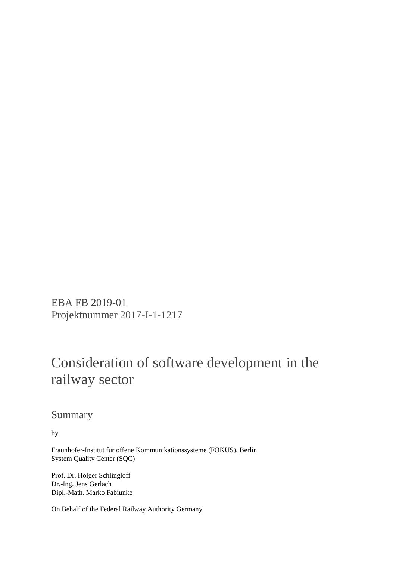EBA FB 2019-01 Projektnummer 2017-I-1-1217

## Consideration of software development in the railway sector

Summary

by

Fraunhofer-Institut für offene Kommunikationssysteme (FOKUS), Berlin System Quality Center (SQC)

Prof. Dr. Holger Schlingloff Dr.-Ing. Jens Gerlach Dipl.-Math. Marko Fabiunke

On Behalf of the Federal Railway Authority Germany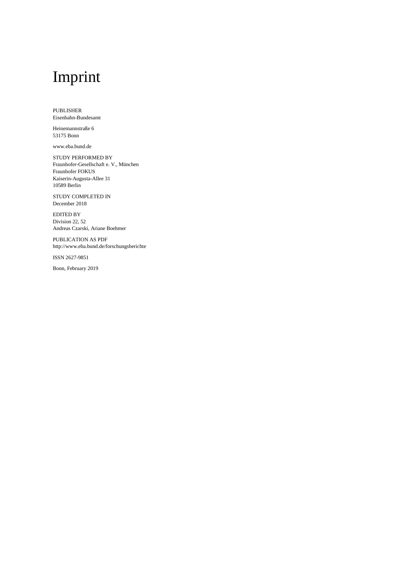## Imprint

PUBLISHER Eisenbahn-Bundesamt

Heinemannstraße 6 53175 Bonn

www.eba.bund.de

STUDY PERFORMED BY Fraunhofer-Gesellschaft e. V., München Fraunhofer FOKUS Kaiserin-Augusta-Allee 31 10589 Berlin

STUDY COMPLETED IN December 2018

EDITED BY Division 22, 52 Andreas Czarski, Ariane Boehmer

PUBLICATION AS PDF http://www.eba.bund.de/forschungsberichte

ISSN 2627-9851

Bonn, February 2019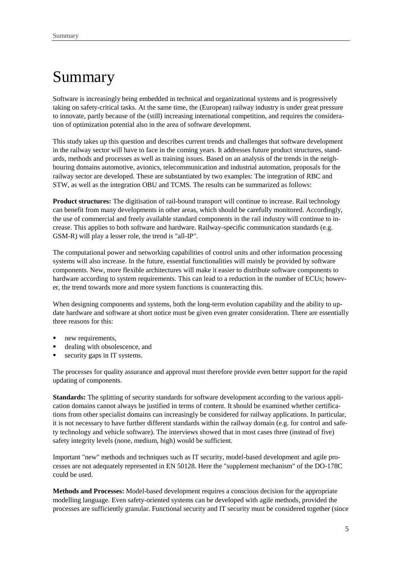## Summary

Software is increasingly being embedded in technical and organizational systems and is progressively taking on safety-critical tasks. At the same time, the (European) railway industry is under great pressure to innovate, partly because of the (still) increasing international competition, and requires the consideration of optimization potential also in the area of software development.

This study takes up this question and describes current trends and challenges that software development in the railway sector will have to face in the coming years. It addresses future product structures, standards, methods and processes as well as training issues. Based on an analysis of the trends in the neighbouring domains automotive, avionics, telecommunication and industrial automation, proposals for the railway sector are developed. These are substantiated by two examples: The integration of RBC and STW, as well as the integration OBU and TCMS. The results can be summarized as follows:

**Product structures:** The digitisation of rail-bound transport will continue to increase. Rail technology can benefit from many developments in other areas, which should be carefully monitored. Accordingly, the use of commercial and freely available standard components in the rail industry will continue to increase. This applies to both software and hardware. Railway-specific communication standards (e.g. GSM-R) will play a lesser role, the trend is "all-IP".

The computational power and networking capabilities of control units and other information processing systems will also increase. In the future, essential functionalities will mainly be provided by software components. New, more flexible architectures will make it easier to distribute software components to hardware according to system requirements. This can lead to a reduction in the number of ECUs; however, the trend towards more and more system functions is counteracting this.

When designing components and systems, both the long-term evolution capability and the ability to update hardware and software at short notice must be given even greater consideration. There are essentially three reasons for this:

- new requirements.
- dealing with obsolescence, and
- security gaps in IT systems.

The processes for quality assurance and approval must therefore provide even better support for the rapid updating of components.

**Standards:** The splitting of security standards for software development according to the various application domains cannot always be justified in terms of content. It should be examined whether certifications from other specialist domains can increasingly be considered for railway applications. In particular, it is not necessary to have further different standards within the railway domain (e.g. for control and safety technology and vehicle software). The interviews showed that in most cases three (instead of five) safety integrity levels (none, medium, high) would be sufficient.

Important "new" methods and techniques such as IT security, model-based development and agile processes are not adequately represented in EN 50128. Here the "supplement mechanism" of the DO-178C could be used.

**Methods and Processes:** Model-based development requires a conscious decision for the appropriate modelling language. Even safety-oriented systems can be developed with agile methods, provided the processes are sufficiently granular. Functional security and IT security must be considered together (since